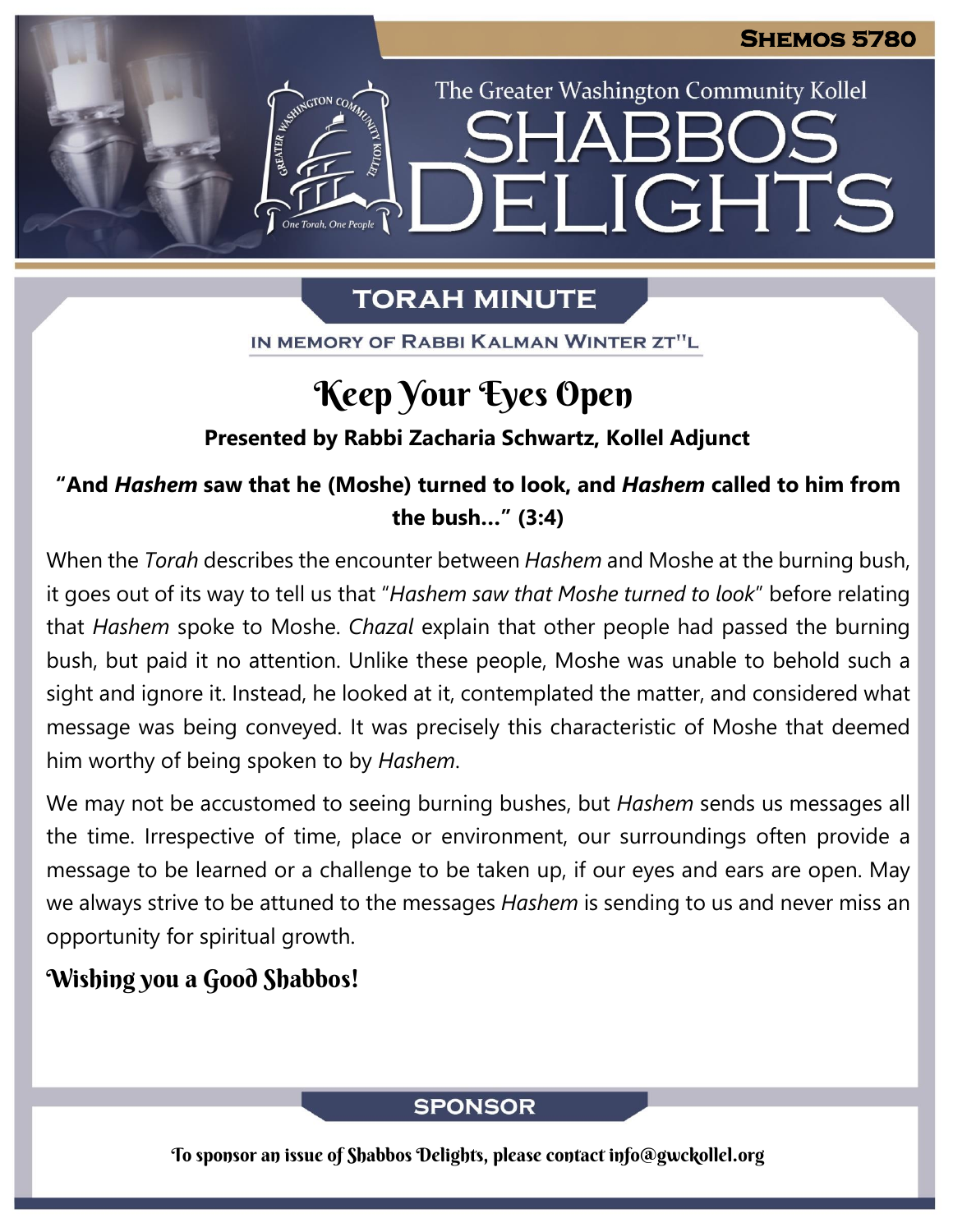The Greater Washington Community Kollel

ELIGHTS

# **TORAH MINUTE**

IN MEMORY OF RABBI KALMAN WINTER ZT"L

# Keep Your Eyes Open

## **Presented by Rabbi Zacharia Schwartz, Kollel Adjunct**

# **"And** *Hashem* **saw that he (Moshe) turned to look, and** *Hashem* **called to him from the bush…" (3:4)**

When the *Torah* describes the encounter between *Hashem* and Moshe at the burning bush, it goes out of its way to tell us that "*Hashem saw that Moshe turned to look*" before relating that *Hashem* spoke to Moshe. *Chazal* explain that other people had passed the burning bush, but paid it no attention. Unlike these people, Moshe was unable to behold such a sight and ignore it. Instead, he looked at it, contemplated the matter, and considered what message was being conveyed. It was precisely this characteristic of Moshe that deemed him worthy of being spoken to by *Hashem*.

We may not be accustomed to seeing burning bushes, but *Hashem* sends us messages all the time. Irrespective of time, place or environment, our surroundings often provide a message to be learned or a challenge to be taken up, if our eyes and ears are open. May we always strive to be attuned to the messages *Hashem* is sending to us and never miss an opportunity for spiritual growth.

# Wishing you a Good Shabbos!

## **SPONSOR**

To sponsor an issue of Shabbos Delights, please contact info@gwckollel.org